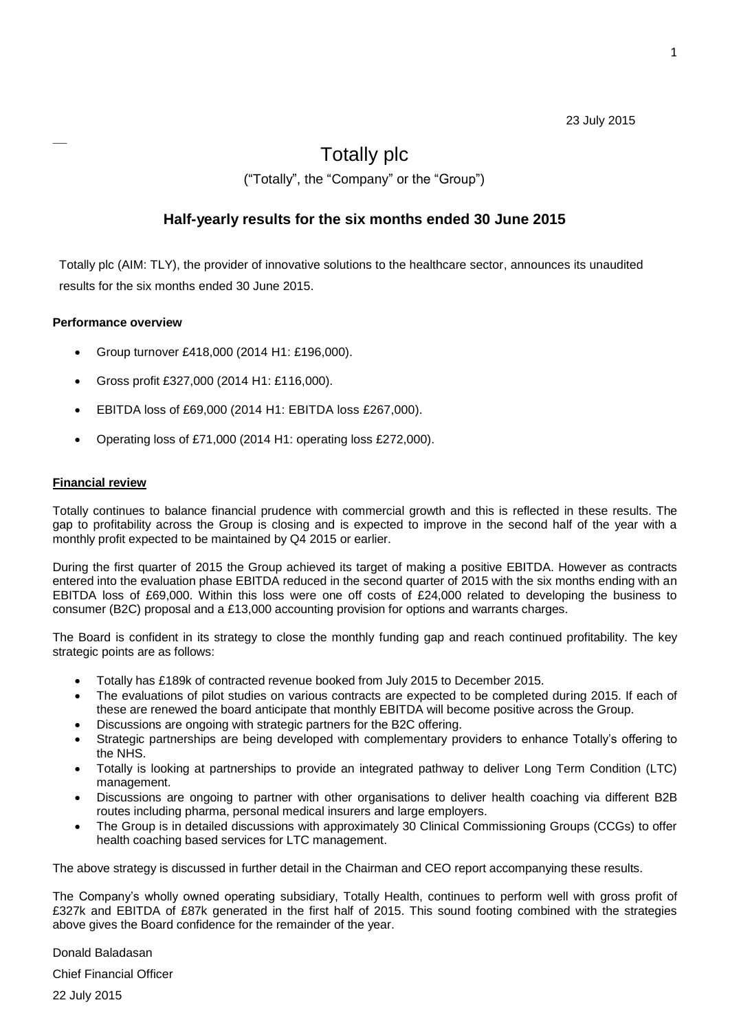### 23 July 2015

# Totally plc ("Totally", the "Company" or the "Group")

### **Half-yearly results for the six months ended 30 June 2015**

Totally plc (AIM: TLY), the provider of innovative solutions to the healthcare sector, announces its unaudited results for the six months ended 30 June 2015.

### **Performance overview**

 $\mathcal{L}=\mathcal{L}$ 

- Group turnover £418,000 (2014 H1: £196,000).
- Gross profit £327,000 (2014 H1: £116,000).
- EBITDA loss of £69,000 (2014 H1: EBITDA loss £267,000).
- Operating loss of £71,000 (2014 H1: operating loss £272,000).

### **Financial review**

Totally continues to balance financial prudence with commercial growth and this is reflected in these results. The gap to profitability across the Group is closing and is expected to improve in the second half of the year with a monthly profit expected to be maintained by Q4 2015 or earlier.

During the first quarter of 2015 the Group achieved its target of making a positive EBITDA. However as contracts entered into the evaluation phase EBITDA reduced in the second quarter of 2015 with the six months ending with an EBITDA loss of £69,000. Within this loss were one off costs of £24,000 related to developing the business to consumer (B2C) proposal and a £13,000 accounting provision for options and warrants charges.

The Board is confident in its strategy to close the monthly funding gap and reach continued profitability. The key strategic points are as follows:

- Totally has £189k of contracted revenue booked from July 2015 to December 2015.
- The evaluations of pilot studies on various contracts are expected to be completed during 2015. If each of these are renewed the board anticipate that monthly EBITDA will become positive across the Group.
- Discussions are ongoing with strategic partners for the B2C offering.
- Strategic partnerships are being developed with complementary providers to enhance Totally's offering to the NHS.
- Totally is looking at partnerships to provide an integrated pathway to deliver Long Term Condition (LTC) management.
- Discussions are ongoing to partner with other organisations to deliver health coaching via different B2B routes including pharma, personal medical insurers and large employers.
- The Group is in detailed discussions with approximately 30 Clinical Commissioning Groups (CCGs) to offer health coaching based services for LTC management.

The above strategy is discussed in further detail in the Chairman and CEO report accompanying these results.

The Company's wholly owned operating subsidiary, Totally Health, continues to perform well with gross profit of £327k and EBITDA of £87k generated in the first half of 2015. This sound footing combined with the strategies above gives the Board confidence for the remainder of the year.

Donald Baladasan

Chief Financial Officer

22 July 2015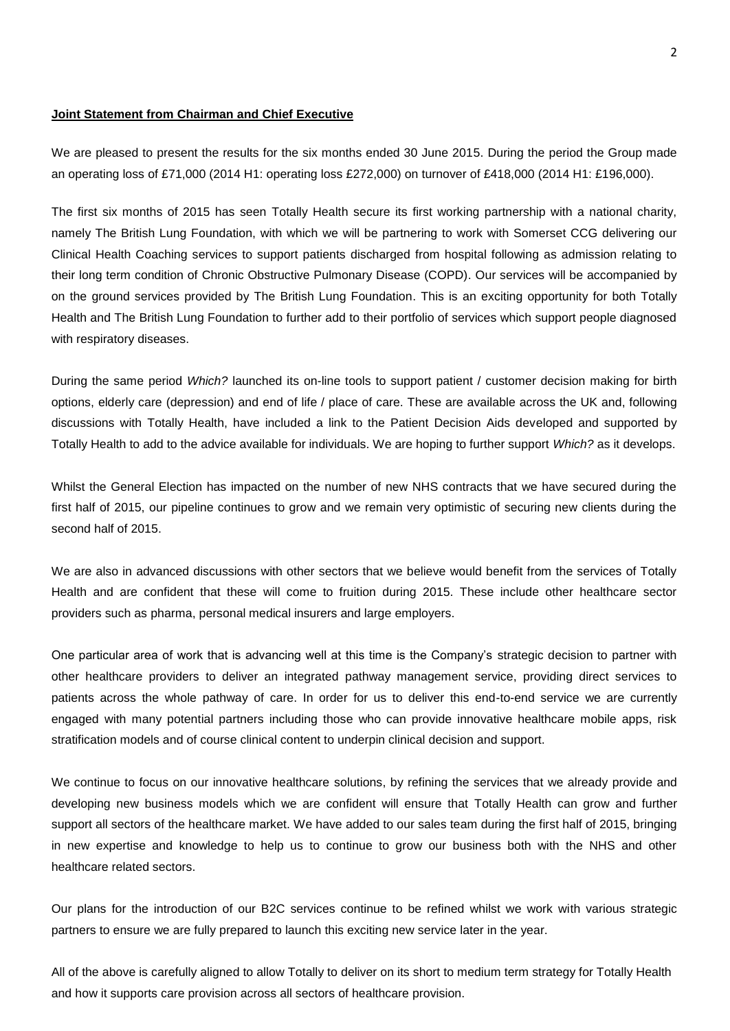#### **Joint Statement from Chairman and Chief Executive**

We are pleased to present the results for the six months ended 30 June 2015. During the period the Group made an operating loss of £71,000 (2014 H1: operating loss £272,000) on turnover of £418,000 (2014 H1: £196,000).

The first six months of 2015 has seen Totally Health secure its first working partnership with a national charity, namely The British Lung Foundation, with which we will be partnering to work with Somerset CCG delivering our Clinical Health Coaching services to support patients discharged from hospital following as admission relating to their long term condition of Chronic Obstructive Pulmonary Disease (COPD). Our services will be accompanied by on the ground services provided by The British Lung Foundation. This is an exciting opportunity for both Totally Health and The British Lung Foundation to further add to their portfolio of services which support people diagnosed with respiratory diseases.

During the same period *Which?* launched its on-line tools to support patient / customer decision making for birth options, elderly care (depression) and end of life / place of care. These are available across the UK and, following discussions with Totally Health, have included a link to the Patient Decision Aids developed and supported by Totally Health to add to the advice available for individuals. We are hoping to further support *Which?* as it develops.

Whilst the General Election has impacted on the number of new NHS contracts that we have secured during the first half of 2015, our pipeline continues to grow and we remain very optimistic of securing new clients during the second half of 2015.

We are also in advanced discussions with other sectors that we believe would benefit from the services of Totally Health and are confident that these will come to fruition during 2015. These include other healthcare sector providers such as pharma, personal medical insurers and large employers.

One particular area of work that is advancing well at this time is the Company's strategic decision to partner with other healthcare providers to deliver an integrated pathway management service, providing direct services to patients across the whole pathway of care. In order for us to deliver this end-to-end service we are currently engaged with many potential partners including those who can provide innovative healthcare mobile apps, risk stratification models and of course clinical content to underpin clinical decision and support.

We continue to focus on our innovative healthcare solutions, by refining the services that we already provide and developing new business models which we are confident will ensure that Totally Health can grow and further support all sectors of the healthcare market. We have added to our sales team during the first half of 2015, bringing in new expertise and knowledge to help us to continue to grow our business both with the NHS and other healthcare related sectors.

Our plans for the introduction of our B2C services continue to be refined whilst we work with various strategic partners to ensure we are fully prepared to launch this exciting new service later in the year.

All of the above is carefully aligned to allow Totally to deliver on its short to medium term strategy for Totally Health and how it supports care provision across all sectors of healthcare provision.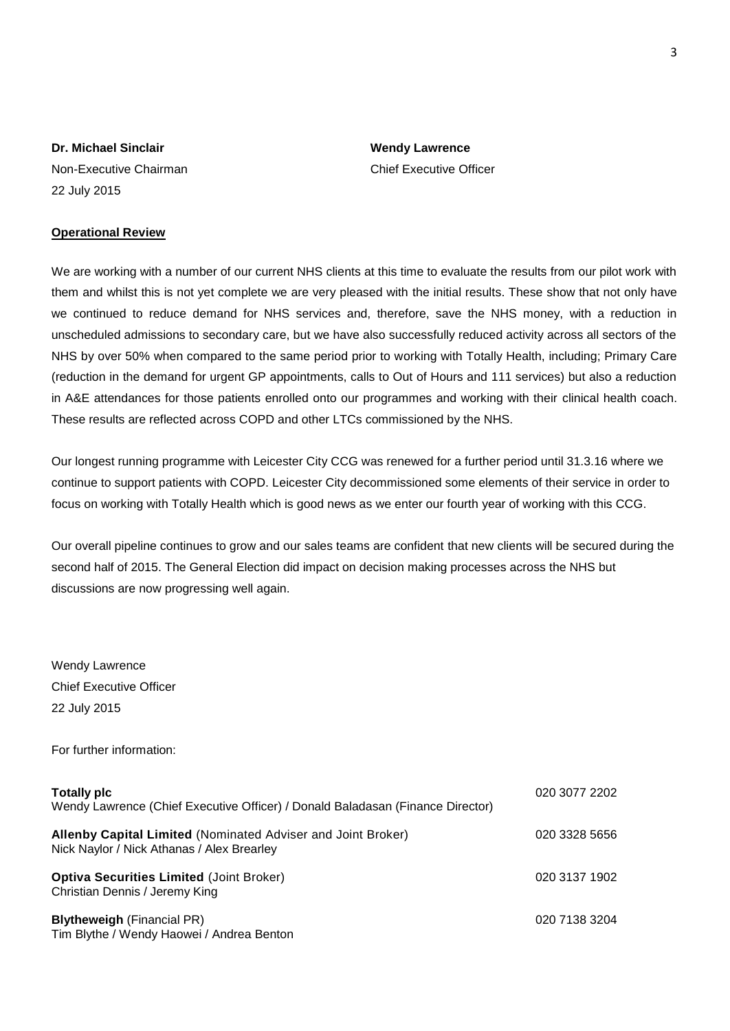Non-Executive Chairman Chief Executive Officer 22 July 2015

### **Operational Review**

We are working with a number of our current NHS clients at this time to evaluate the results from our pilot work with them and whilst this is not yet complete we are very pleased with the initial results. These show that not only have we continued to reduce demand for NHS services and, therefore, save the NHS money, with a reduction in unscheduled admissions to secondary care, but we have also successfully reduced activity across all sectors of the NHS by over 50% when compared to the same period prior to working with Totally Health, including; Primary Care (reduction in the demand for urgent GP appointments, calls to Out of Hours and 111 services) but also a reduction in A&E attendances for those patients enrolled onto our programmes and working with their clinical health coach. These results are reflected across COPD and other LTCs commissioned by the NHS.

Our longest running programme with Leicester City CCG was renewed for a further period until 31.3.16 where we continue to support patients with COPD. Leicester City decommissioned some elements of their service in order to focus on working with Totally Health which is good news as we enter our fourth year of working with this CCG.

Our overall pipeline continues to grow and our sales teams are confident that new clients will be secured during the second half of 2015. The General Election did impact on decision making processes across the NHS but discussions are now progressing well again.

Wendy Lawrence Chief Executive Officer 22 July 2015

For further information:

| <b>Totally plc</b><br>Wendy Lawrence (Chief Executive Officer) / Donald Baladasan (Finance Director)       | 020 3077 2202 |
|------------------------------------------------------------------------------------------------------------|---------------|
| Allenby Capital Limited (Nominated Adviser and Joint Broker)<br>Nick Naylor / Nick Athanas / Alex Brearley | 020 3328 5656 |
| <b>Optiva Securities Limited (Joint Broker)</b><br>Christian Dennis / Jeremy King                          | 020 3137 1902 |
| <b>Blytheweigh (Financial PR)</b><br>Tim Blythe / Wendy Haowei / Andrea Benton                             | 020 7138 3204 |

**Dr. Michael Sinclair Wendy Lawrence**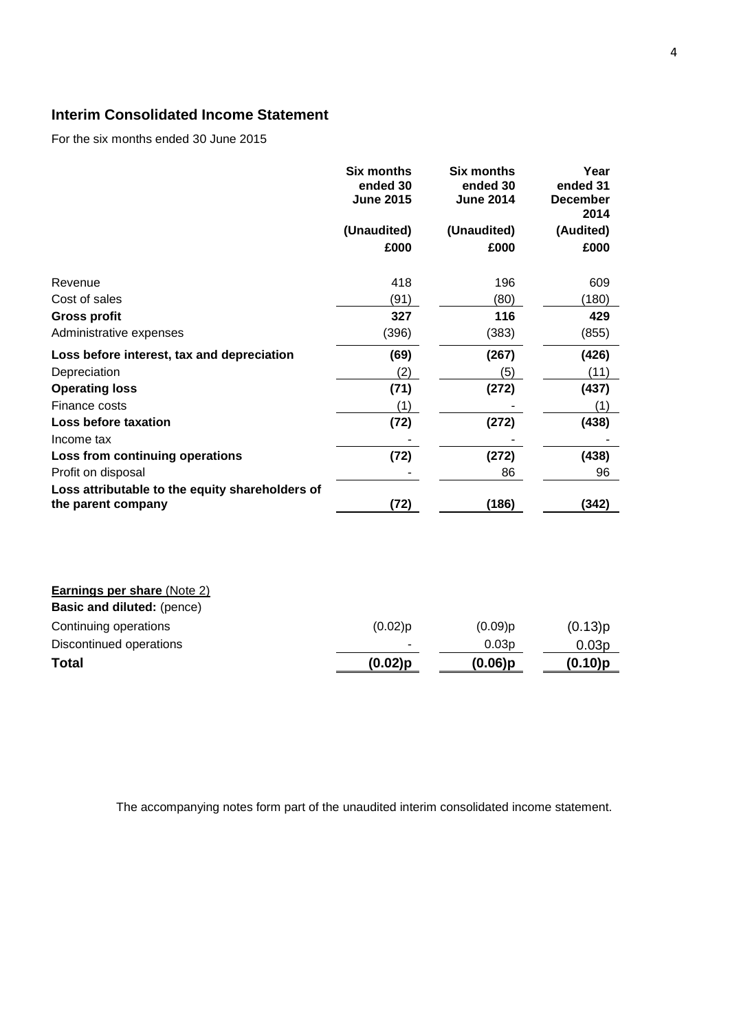## **Interim Consolidated Income Statement**

For the six months ended 30 June 2015

|                                                 | Six months<br>ended 30<br><b>June 2015</b> | <b>Six months</b><br>ended 30<br><b>June 2014</b> | Year<br>ended 31<br><b>December</b><br>2014 |
|-------------------------------------------------|--------------------------------------------|---------------------------------------------------|---------------------------------------------|
|                                                 | (Unaudited)                                | (Unaudited)                                       | (Audited)                                   |
|                                                 | £000                                       | £000                                              | £000                                        |
| Revenue                                         | 418                                        | 196                                               | 609                                         |
| Cost of sales                                   | (91)                                       | (80)                                              | (180)                                       |
| <b>Gross profit</b>                             | 327                                        | 116                                               | 429                                         |
| Administrative expenses                         | (396)                                      | (383)                                             | (855)                                       |
| Loss before interest, tax and depreciation      | (69)                                       | (267)                                             | (426)                                       |
| Depreciation                                    | (2)                                        | (5)                                               | (11)                                        |
| <b>Operating loss</b>                           | (71)                                       | (272)                                             | (437)                                       |
| Finance costs                                   | (1)                                        |                                                   | (1)                                         |
| Loss before taxation                            | (72)                                       | (272)                                             | (438)                                       |
| Income tax                                      |                                            |                                                   |                                             |
| Loss from continuing operations                 | (72)                                       | (272)                                             | (438)                                       |
| Profit on disposal                              |                                            | 86                                                | 96                                          |
| Loss attributable to the equity shareholders of |                                            |                                                   |                                             |
| the parent company                              | (72)                                       | (186)                                             | (342)                                       |

| <b>Earnings per share (Note 2)</b> |            |            |                   |
|------------------------------------|------------|------------|-------------------|
| <b>Basic and diluted: (pence)</b>  |            |            |                   |
| Continuing operations              | $(0.02)$ p | $(0.09)$ p | (0.13)p           |
| Discontinued operations            |            | 0.03p      | 0.03 <sub>p</sub> |
| <b>Total</b>                       | $(0.02)$ p | $(0.06)$ p | (0.10)p           |

The accompanying notes form part of the unaudited interim consolidated income statement.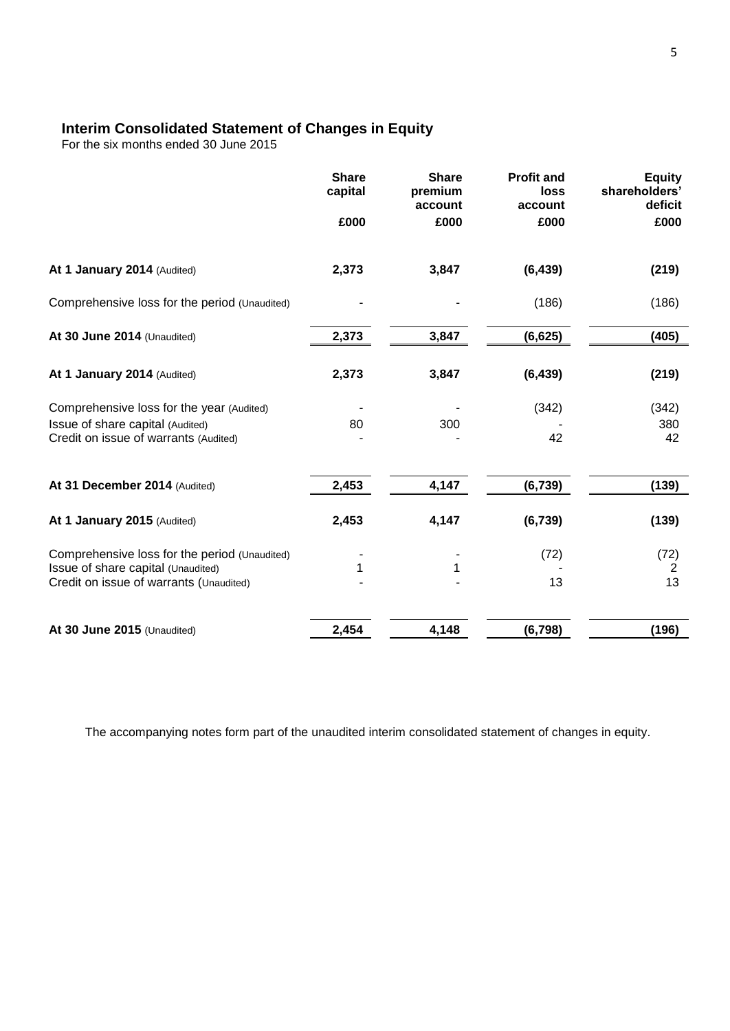### **Interim Consolidated Statement of Changes in Equity**

For the six months ended 30 June 2015

|                                                                               | <b>Share</b><br>capital | <b>Share</b><br>premium<br>account | <b>Profit and</b><br>loss<br>account | <b>Equity</b><br>shareholders'<br>deficit |
|-------------------------------------------------------------------------------|-------------------------|------------------------------------|--------------------------------------|-------------------------------------------|
|                                                                               | £000                    | £000                               | £000                                 | £000                                      |
| At 1 January 2014 (Audited)                                                   | 2,373                   | 3,847                              | (6, 439)                             | (219)                                     |
| Comprehensive loss for the period (Unaudited)                                 |                         |                                    | (186)                                | (186)                                     |
| At 30 June 2014 (Unaudited)                                                   | 2,373                   | 3,847                              | (6, 625)                             | (405)                                     |
| At 1 January 2014 (Audited)                                                   | 2,373                   | 3,847                              | (6, 439)                             | (219)                                     |
| Comprehensive loss for the year (Audited)                                     |                         |                                    | (342)                                | (342)                                     |
| Issue of share capital (Audited)<br>Credit on issue of warrants (Audited)     | 80                      | 300                                | 42                                   | 380<br>42                                 |
| At 31 December 2014 (Audited)                                                 | 2,453                   | 4,147                              | (6, 739)                             | (139)                                     |
| At 1 January 2015 (Audited)                                                   | 2,453                   | 4,147                              | (6, 739)                             | (139)                                     |
| Comprehensive loss for the period (Unaudited)                                 |                         |                                    | (72)                                 | (72)                                      |
| Issue of share capital (Unaudited)<br>Credit on issue of warrants (Unaudited) | 1                       | 1                                  | 13                                   | 2<br>13                                   |
| At 30 June 2015 (Unaudited)                                                   | 2,454                   | 4,148                              | (6, 798)                             | (196)                                     |

The accompanying notes form part of the unaudited interim consolidated statement of changes in equity.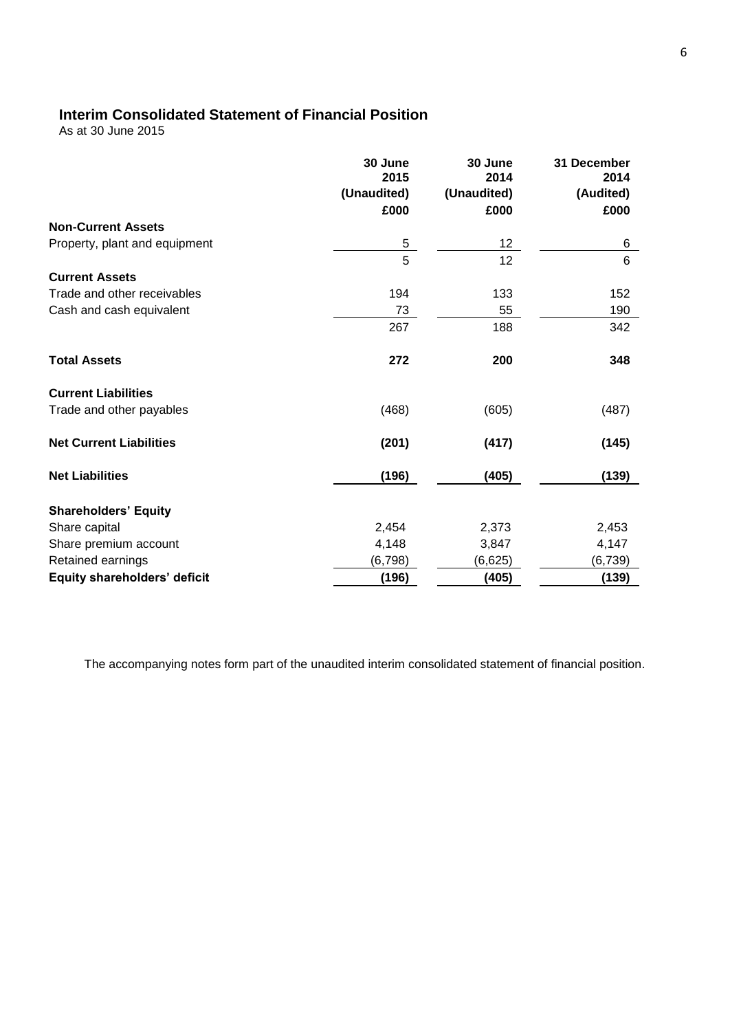## **Interim Consolidated Statement of Financial Position**

As at 30 June 2015

|                                     | 30 June<br>2015<br>(Unaudited)<br>£000 | 30 June<br>2014<br>(Unaudited)<br>£000 | 31 December<br>2014<br>(Audited)<br>£000 |
|-------------------------------------|----------------------------------------|----------------------------------------|------------------------------------------|
| <b>Non-Current Assets</b>           |                                        |                                        |                                          |
| Property, plant and equipment       | 5                                      | $12 \overline{ }$                      | 6                                        |
|                                     | $\overline{5}$                         | 12                                     | 6                                        |
| <b>Current Assets</b>               |                                        |                                        |                                          |
| Trade and other receivables         | 194                                    | 133                                    | 152                                      |
| Cash and cash equivalent            | 73                                     | 55                                     | 190                                      |
|                                     | 267                                    | 188                                    | 342                                      |
| <b>Total Assets</b>                 | 272                                    | 200                                    | 348                                      |
| <b>Current Liabilities</b>          |                                        |                                        |                                          |
| Trade and other payables            | (468)                                  | (605)                                  | (487)                                    |
| <b>Net Current Liabilities</b>      | (201)                                  | (417)                                  | (145)                                    |
| <b>Net Liabilities</b>              | (196)                                  | (405)                                  | (139)                                    |
| <b>Shareholders' Equity</b>         |                                        |                                        |                                          |
| Share capital                       | 2,454                                  | 2,373                                  | 2,453                                    |
| Share premium account               | 4,148                                  | 3,847                                  | 4,147                                    |
| Retained earnings                   | (6, 798)                               | (6,625)                                | (6, 739)                                 |
| <b>Equity shareholders' deficit</b> | (196)                                  | (405)                                  | (139)                                    |

The accompanying notes form part of the unaudited interim consolidated statement of financial position.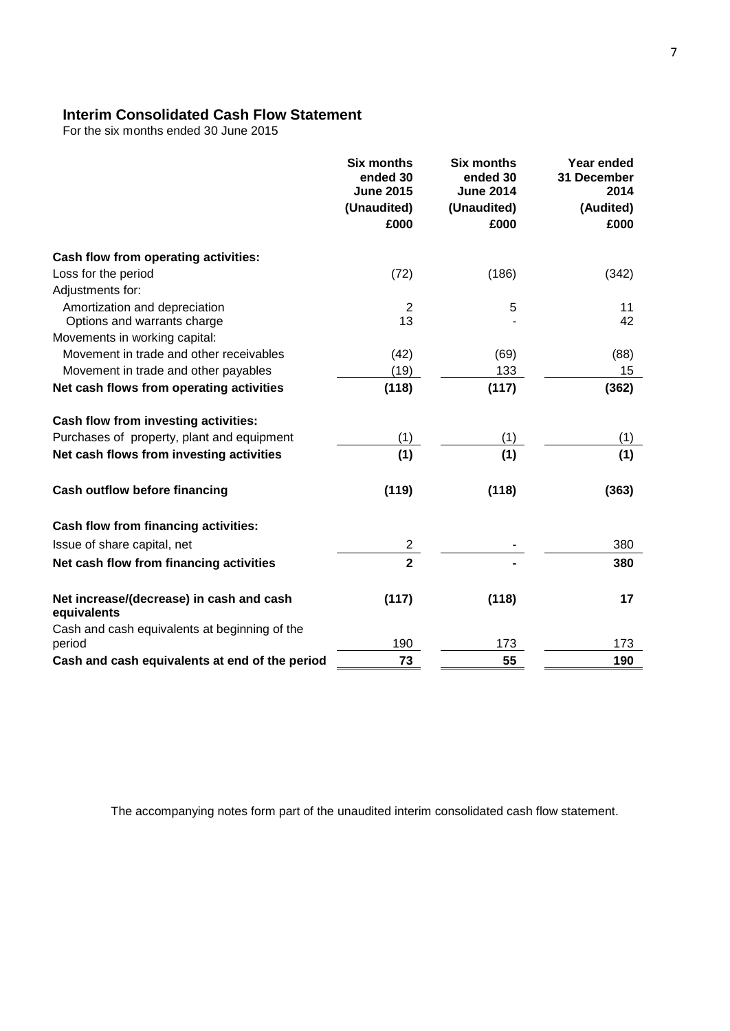## **Interim Consolidated Cash Flow Statement**

For the six months ended 30 June 2015

|                                                         | <b>Six months</b><br>ended 30<br><b>June 2015</b><br>(Unaudited)<br>£000 | <b>Six months</b><br>ended 30<br><b>June 2014</b><br>(Unaudited)<br>£000 | Year ended<br>31 December<br>2014<br>(Audited)<br>£000 |
|---------------------------------------------------------|--------------------------------------------------------------------------|--------------------------------------------------------------------------|--------------------------------------------------------|
| Cash flow from operating activities:                    |                                                                          |                                                                          |                                                        |
| Loss for the period                                     | (72)                                                                     | (186)                                                                    | (342)                                                  |
| Adjustments for:                                        |                                                                          |                                                                          |                                                        |
| Amortization and depreciation                           | 2                                                                        | 5                                                                        | 11                                                     |
| Options and warrants charge                             | 13                                                                       |                                                                          | 42                                                     |
| Movements in working capital:                           |                                                                          |                                                                          |                                                        |
| Movement in trade and other receivables                 | (42)                                                                     | (69)                                                                     | (88)                                                   |
| Movement in trade and other payables                    | (19)                                                                     | 133                                                                      | 15                                                     |
| Net cash flows from operating activities                | (118)                                                                    | (117)                                                                    | (362)                                                  |
| Cash flow from investing activities:                    |                                                                          |                                                                          |                                                        |
| Purchases of property, plant and equipment              | (1)                                                                      | (1)                                                                      | (1)                                                    |
| Net cash flows from investing activities                | (1)                                                                      | (1)                                                                      | (1)                                                    |
| <b>Cash outflow before financing</b>                    | (119)                                                                    | (118)                                                                    | (363)                                                  |
| Cash flow from financing activities:                    |                                                                          |                                                                          |                                                        |
| Issue of share capital, net                             | $\overline{c}$                                                           |                                                                          | 380                                                    |
| Net cash flow from financing activities                 | $\overline{2}$                                                           |                                                                          | 380                                                    |
| Net increase/(decrease) in cash and cash<br>equivalents | (117)                                                                    | (118)                                                                    | 17                                                     |
| Cash and cash equivalents at beginning of the           |                                                                          |                                                                          |                                                        |
| period                                                  | 190                                                                      | 173                                                                      | 173                                                    |
| Cash and cash equivalents at end of the period          | 73                                                                       | 55                                                                       | 190                                                    |

The accompanying notes form part of the unaudited interim consolidated cash flow statement.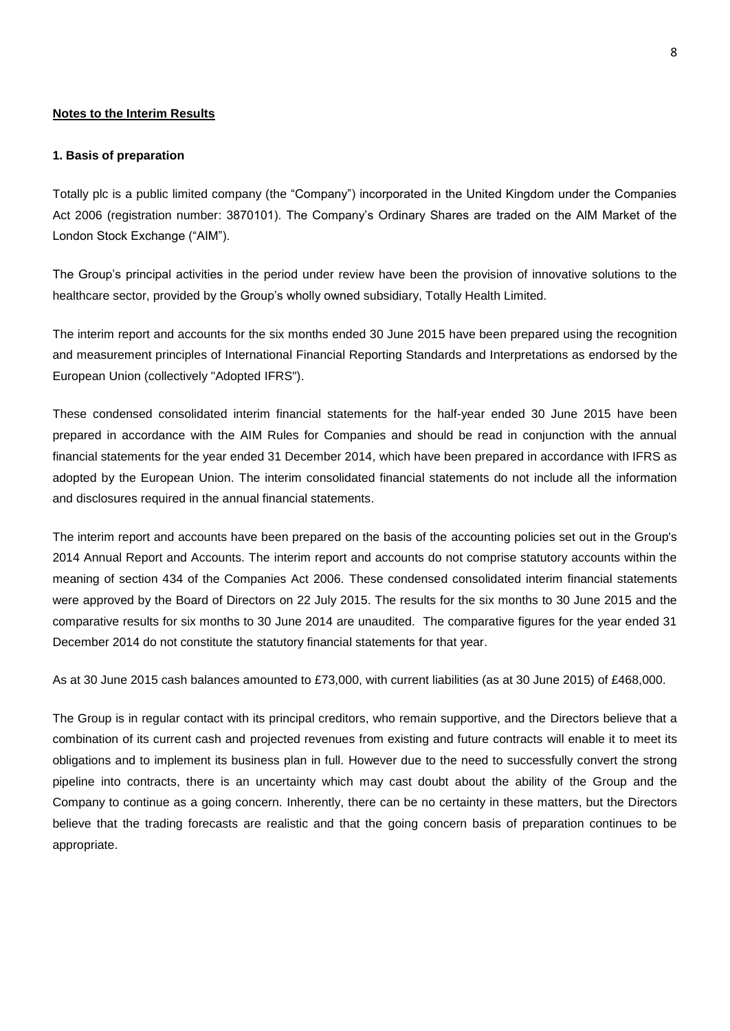### **Notes to the Interim Results**

#### **1. Basis of preparation**

Totally plc is a public limited company (the "Company") incorporated in the United Kingdom under the Companies Act 2006 (registration number: 3870101). The Company's Ordinary Shares are traded on the AlM Market of the London Stock Exchange ("AIM").

The Group's principal activities in the period under review have been the provision of innovative solutions to the healthcare sector, provided by the Group's wholly owned subsidiary, Totally Health Limited.

The interim report and accounts for the six months ended 30 June 2015 have been prepared using the recognition and measurement principles of International Financial Reporting Standards and Interpretations as endorsed by the European Union (collectively "Adopted IFRS").

These condensed consolidated interim financial statements for the half-year ended 30 June 2015 have been prepared in accordance with the AIM Rules for Companies and should be read in conjunction with the annual financial statements for the year ended 31 December 2014, which have been prepared in accordance with IFRS as adopted by the European Union. The interim consolidated financial statements do not include all the information and disclosures required in the annual financial statements.

The interim report and accounts have been prepared on the basis of the accounting policies set out in the Group's 2014 Annual Report and Accounts. The interim report and accounts do not comprise statutory accounts within the meaning of section 434 of the Companies Act 2006. These condensed consolidated interim financial statements were approved by the Board of Directors on 22 July 2015. The results for the six months to 30 June 2015 and the comparative results for six months to 30 June 2014 are unaudited. The comparative figures for the year ended 31 December 2014 do not constitute the statutory financial statements for that year.

As at 30 June 2015 cash balances amounted to £73,000, with current liabilities (as at 30 June 2015) of £468,000.

The Group is in regular contact with its principal creditors, who remain supportive, and the Directors believe that a combination of its current cash and projected revenues from existing and future contracts will enable it to meet its obligations and to implement its business plan in full. However due to the need to successfully convert the strong pipeline into contracts, there is an uncertainty which may cast doubt about the ability of the Group and the Company to continue as a going concern. Inherently, there can be no certainty in these matters, but the Directors believe that the trading forecasts are realistic and that the going concern basis of preparation continues to be appropriate.